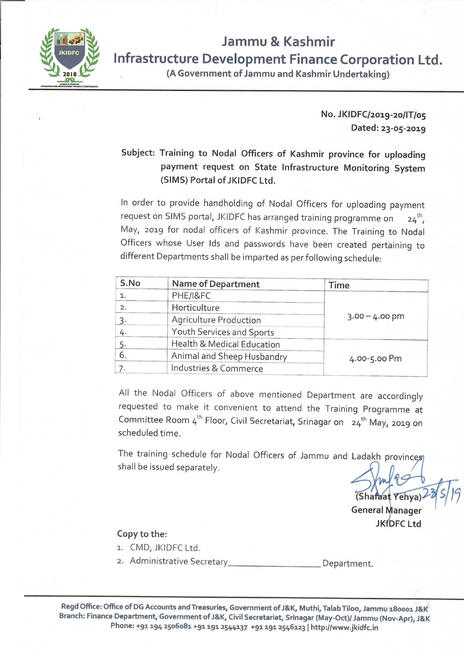

## **Jammu & Kashmir Infrastructure Development Finance Corporation Ltd.**

**(A Government of Jammu and Kashmir Undertaking)** 

**No. JKIDFC/2019-20/IT/05 Dated: 23-05-2019** 

## **Subject: Training to Nodal Officers of Kashmir province for uploading payment request on State Infrastructure Monitoring System (SIMS) Portal of JKIDFC Ltd.**

In order to provide handholding of Nodal Officers for uploading payment request on SIMS portal, JKIDFC has arranged training programme on th , May, 2019 for nodal officers of Kashmir province. The Training to Nodal Officers whose User Ids and passwords have been created pertaining to different Departments shall be imparted as per following schedule:

| S.No | <b>Name of Department</b>             | <b>Time</b>      |
|------|---------------------------------------|------------------|
| 1.   | PHE/I&FC                              | $3.00 - 4.00$ pm |
| 2.   | Horticulture                          |                  |
| 3.   | <b>Agriculture Production</b>         |                  |
| 4.   | Youth Services and Sports             |                  |
| 5.   | <b>Health &amp; Medical Education</b> | 4.00-5.00 Pm     |
| 6.   | Animal and Sheep Husbandry            |                  |
|      | Industries & Commerce                 |                  |

All the Nodal Officers of above mentioned Department are accordingly requested to make it convenient to attend the Training Programme at Committee Room 4<sup>th</sup> Floor, Civil Secretariat, Srinagar on 24<sup>th</sup> May, 2019 on scheduled time.

The training schedule for Nodal Officers of Jammu and Ladakh provinces shall be issued separately.

(Shafaat Yehya

**General Manager JKIDFC Ltd** 

## **Copy to the:**

- 1. CMD, JKIDFC Ltd.
- 2. Administrative Secretary Department.

**Regd Office: Office of DG Accounts and Treasuries, Government of J&K, Muthi, Ta lab Tiloo, Jam mu 180001 J&K Branch: Finance Department, Government of J&K, Civil Secretariat, Srinagar (May-Oct)/ Jammu (Nov-Apr), J&K Phone: +91194 2506081+91191 2544137 +91191 2546123** I **http://www.jkidfc.in**